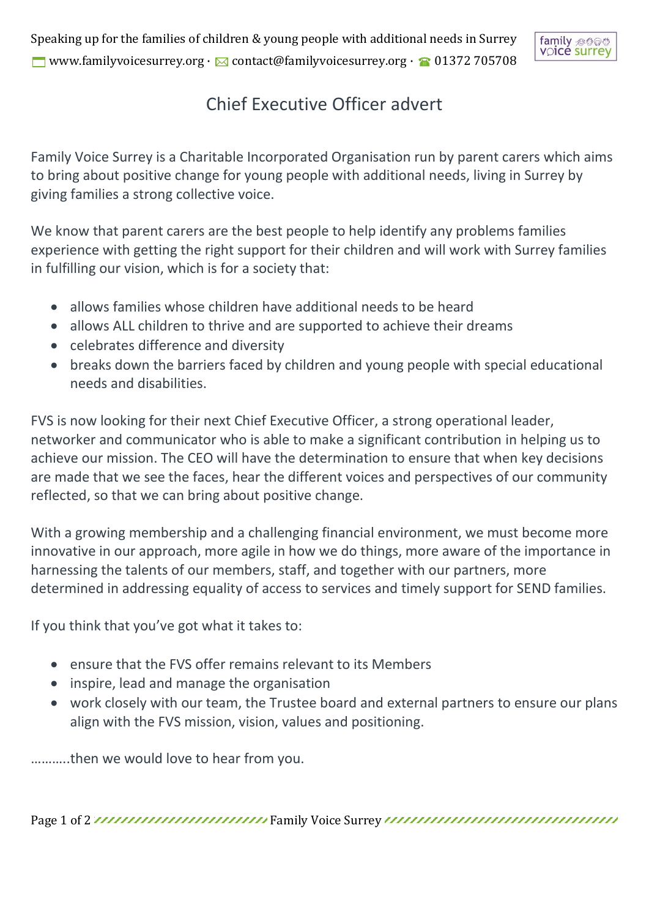Speaking up for the families of children & young people with additional needs in Surrey www.familyvoicesurrey.org ·  $\boxtimes$  contact@familyvoicesurrey.org ·  $\textcircled{a}$  01372 705708



## Chief Executive Officer advert

Family Voice Surrey is a Charitable Incorporated Organisation run by parent carers which aims to bring about positive change for young people with additional needs, living in Surrey by giving families a strong collective voice.

We know that parent carers are the best people to help identify any problems families experience with getting the right support for their children and will work with Surrey families in fulfilling our vision, which is for a society that:

- allows families whose children have additional needs to be heard
- allows ALL children to thrive and are supported to achieve their dreams
- celebrates difference and diversity
- breaks down the barriers faced by children and young people with special educational needs and disabilities.

FVS is now looking for their next Chief Executive Officer, a strong operational leader, networker and communicator who is able to make a significant contribution in helping us to achieve our mission. The CEO will have the determination to ensure that when key decisions are made that we see the faces, hear the different voices and perspectives of our community reflected, so that we can bring about positive change.

With a growing membership and a challenging financial environment, we must become more innovative in our approach, more agile in how we do things, more aware of the importance in harnessing the talents of our members, staff, and together with our partners, more determined in addressing equality of access to services and timely support for SEND families.

If you think that you've got what it takes to:

- ensure that the FVS offer remains relevant to its Members
- inspire, lead and manage the organisation
- work closely with our team, the Trustee board and external partners to ensure our plans align with the FVS mission, vision, values and positioning.

………..then we would love to hear from you.